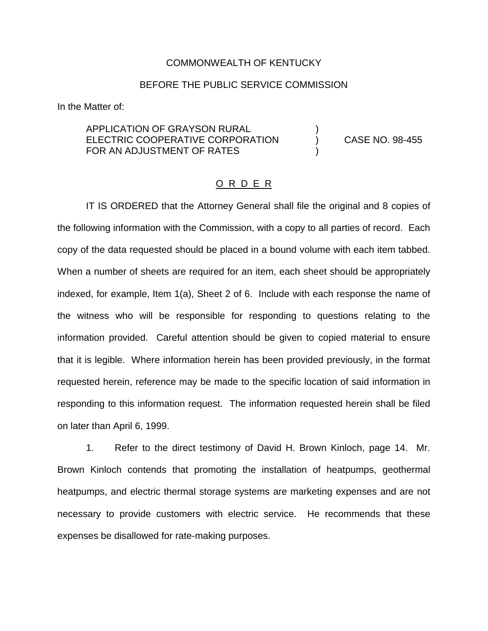## COMMONWEALTH OF KENTUCKY

## BEFORE THE PUBLIC SERVICE COMMISSION

In the Matter of:

APPLICATION OF GRAYSON RURAL ELECTRIC COOPERATIVE CORPORATION (CASE NO. 98-455) FOR AN ADJUSTMENT OF RATES

## O R D E R

IT IS ORDERED that the Attorney General shall file the original and 8 copies of the following information with the Commission, with a copy to all parties of record. Each copy of the data requested should be placed in a bound volume with each item tabbed. When a number of sheets are required for an item, each sheet should be appropriately indexed, for example, Item 1(a), Sheet 2 of 6. Include with each response the name of the witness who will be responsible for responding to questions relating to the information provided. Careful attention should be given to copied material to ensure that it is legible. Where information herein has been provided previously, in the format requested herein, reference may be made to the specific location of said information in responding to this information request. The information requested herein shall be filed on later than April 6, 1999.

1. Refer to the direct testimony of David H. Brown Kinloch, page 14. Mr. Brown Kinloch contends that promoting the installation of heatpumps, geothermal heatpumps, and electric thermal storage systems are marketing expenses and are not necessary to provide customers with electric service. He recommends that these expenses be disallowed for rate-making purposes.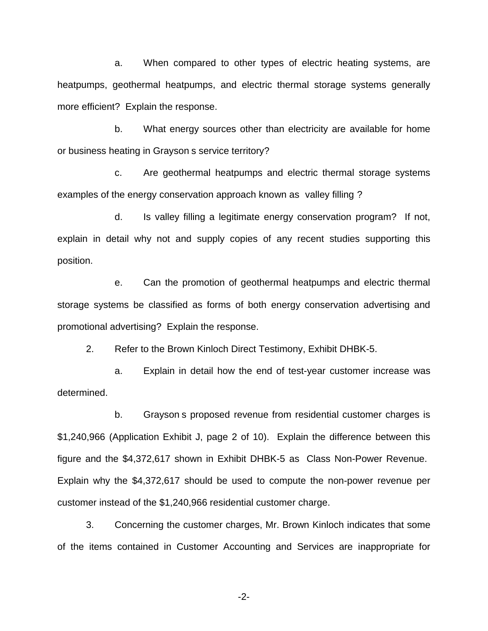a. When compared to other types of electric heating systems, are heatpumps, geothermal heatpumps, and electric thermal storage systems generally more efficient? Explain the response.

b. What energy sources other than electricity are available for home or business heating in Grayson s service territory?

c. Are geothermal heatpumps and electric thermal storage systems examples of the energy conservation approach known as valley filling ?

d. Is valley filling a legitimate energy conservation program? If not, explain in detail why not and supply copies of any recent studies supporting this position.

e. Can the promotion of geothermal heatpumps and electric thermal storage systems be classified as forms of both energy conservation advertising and promotional advertising? Explain the response.

2. Refer to the Brown Kinloch Direct Testimony, Exhibit DHBK-5.

a. Explain in detail how the end of test-year customer increase was determined.

b. Grayson s proposed revenue from residential customer charges is \$1,240,966 (Application Exhibit J, page 2 of 10). Explain the difference between this figure and the \$4,372,617 shown in Exhibit DHBK-5 as Class Non-Power Revenue. Explain why the \$4,372,617 should be used to compute the non-power revenue per customer instead of the \$1,240,966 residential customer charge.

3. Concerning the customer charges, Mr. Brown Kinloch indicates that some of the items contained in Customer Accounting and Services are inappropriate for

-2-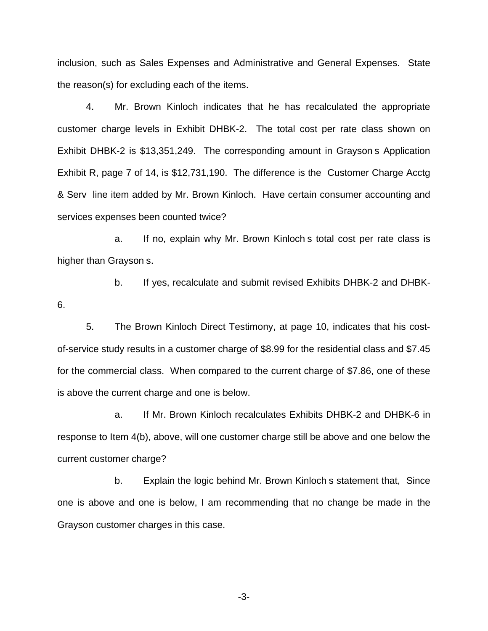inclusion, such as Sales Expenses and Administrative and General Expenses. State the reason(s) for excluding each of the items.

4. Mr. Brown Kinloch indicates that he has recalculated the appropriate customer charge levels in Exhibit DHBK-2. The total cost per rate class shown on Exhibit DHBK-2 is \$13,351,249. The corresponding amount in Grayson s Application Exhibit R, page 7 of 14, is \$12,731,190. The difference is the Customer Charge Acctg & Serv line item added by Mr. Brown Kinloch. Have certain consumer accounting and services expenses been counted twice?

a. If no, explain why Mr. Brown Kinloch s total cost per rate class is higher than Grayson s.

b. If yes, recalculate and submit revised Exhibits DHBK-2 and DHBK-6.

5. The Brown Kinloch Direct Testimony, at page 10, indicates that his costof-service study results in a customer charge of \$8.99 for the residential class and \$7.45 for the commercial class. When compared to the current charge of \$7.86, one of these is above the current charge and one is below.

a. If Mr. Brown Kinloch recalculates Exhibits DHBK-2 and DHBK-6 in response to Item 4(b), above, will one customer charge still be above and one below the current customer charge?

b. Explain the logic behind Mr. Brown Kinloch s statement that, Since one is above and one is below, I am recommending that no change be made in the Grayson customer charges in this case.

-3-